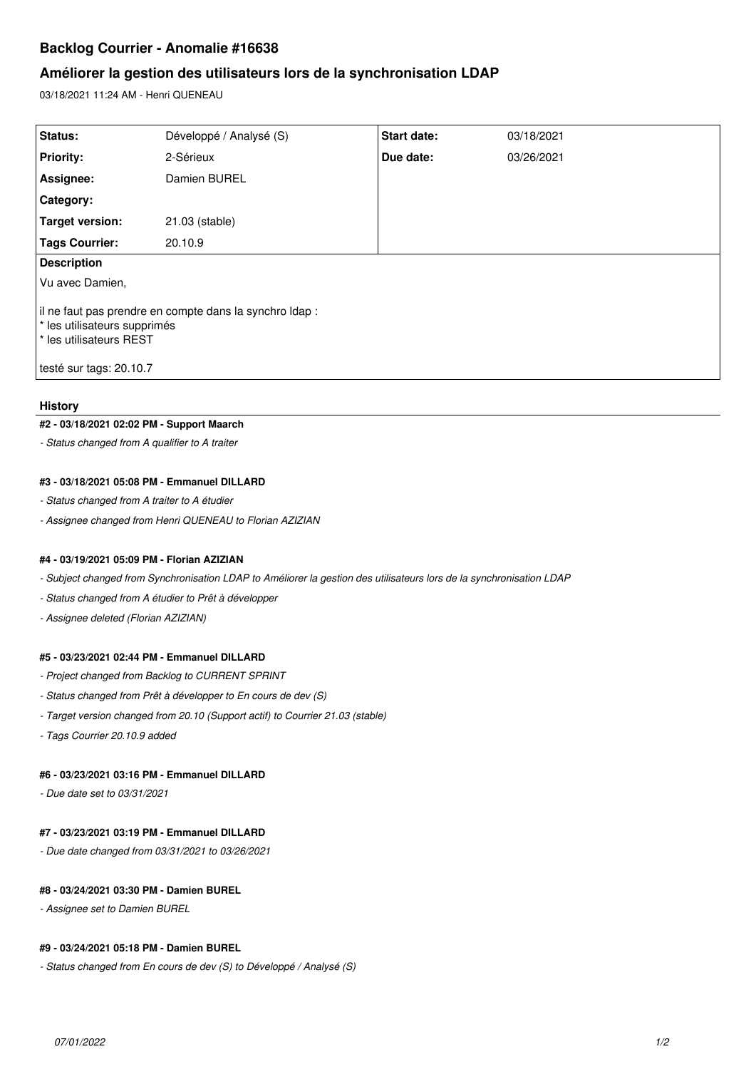# **Backlog Courrier - Anomalie #16638**

# **Améliorer la gestion des utilisateurs lors de la synchronisation LDAP**

03/18/2021 11:24 AM - Henri QUENEAU

| Status:                                                                                                            | Développé / Analysé (S) | <b>Start date:</b> | 03/18/2021 |
|--------------------------------------------------------------------------------------------------------------------|-------------------------|--------------------|------------|
| <b>Priority:</b>                                                                                                   | 2-Sérieux               | Due date:          | 03/26/2021 |
| Assignee:                                                                                                          | Damien BUREL            |                    |            |
| <b>Category:</b>                                                                                                   |                         |                    |            |
| Target version:                                                                                                    | 21.03 (stable)          |                    |            |
| <b>Tags Courrier:</b>                                                                                              | 20.10.9                 |                    |            |
| <b>Description</b>                                                                                                 |                         |                    |            |
| Vu avec Damien,                                                                                                    |                         |                    |            |
| li ne faut pas prendre en compte dans la synchro Idap :<br>* les utilisateurs supprimés<br>t les utilisateurs REST |                         |                    |            |
| testé sur tags: 20.10.7                                                                                            |                         |                    |            |

#### **History**

### **#2 - 03/18/2021 02:02 PM - Support Maarch**

*- Status changed from A qualifier to A traiter*

# **#3 - 03/18/2021 05:08 PM - Emmanuel DILLARD**

*- Status changed from A traiter to A étudier*

*- Assignee changed from Henri QUENEAU to Florian AZIZIAN*

#### **#4 - 03/19/2021 05:09 PM - Florian AZIZIAN**

*- Subject changed from Synchronisation LDAP to Améliorer la gestion des utilisateurs lors de la synchronisation LDAP*

*- Status changed from A étudier to Prêt à développer*

*- Assignee deleted (Florian AZIZIAN)*

#### **#5 - 03/23/2021 02:44 PM - Emmanuel DILLARD**

- *Project changed from Backlog to CURRENT SPRINT*
- *Status changed from Prêt à développer to En cours de dev (S)*
- *Target version changed from 20.10 (Support actif) to Courrier 21.03 (stable)*
- *Tags Courrier 20.10.9 added*

# **#6 - 03/23/2021 03:16 PM - Emmanuel DILLARD**

*- Due date set to 03/31/2021*

# **#7 - 03/23/2021 03:19 PM - Emmanuel DILLARD**

*- Due date changed from 03/31/2021 to 03/26/2021*

### **#8 - 03/24/2021 03:30 PM - Damien BUREL**

*- Assignee set to Damien BUREL*

### **#9 - 03/24/2021 05:18 PM - Damien BUREL**

*- Status changed from En cours de dev (S) to Développé / Analysé (S)*